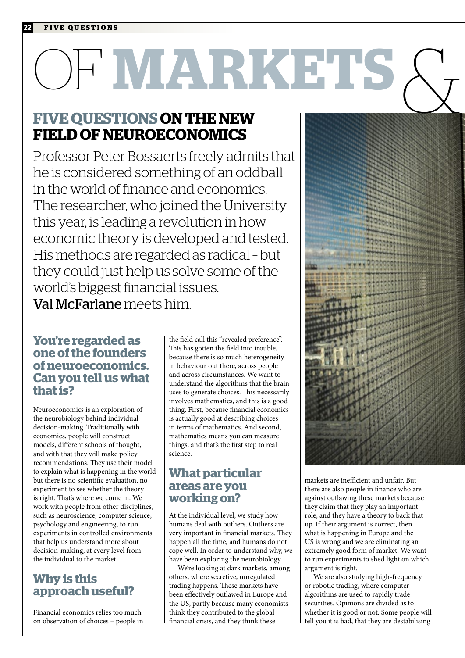## OF **MARKETS** & **MINDS**

#### **FIVE QUESTIONS ON THE NEW FIELD OF NEUROECONOMICS**

Professor Peter Bossaerts freely admits that he is considered something of an oddball in the world of finance and economics. The researcher, who joined the University this year, is leading a revolution in how economic theory is developed and tested. His methods are regarded as radical – but they could just help us solve some of the world's biggest financial issues. Val McFarlane meets him.

#### **You're regarded as one of the founders of neuroeconomics. Can you tell us what that is?**

Neuroeconomics is an exploration of the neurobiology behind individual decision-making. Traditionally with economics, people will construct models, different schools of thought, and with that they will make policy recommendations. They use their model to explain what is happening in the world but there is no scientific evaluation, no experiment to see whether the theory is right. That's where we come in. We work with people from other disciplines, such as neuroscience, computer science, psychology and engineering, to run experiments in controlled environments that help us understand more about decision-making, at every level from the individual to the market.

#### **Why is this approach useful?**

Financial economics relies too much on observation of choices – people in the field call this "revealed preference". This has gotten the field into trouble, because there is so much heterogeneity in behaviour out there, across people and across circumstances. We want to understand the algorithms that the brain uses to generate choices. This necessarily involves mathematics, and this is a good thing. First, because financial economics is actually good at describing choices in terms of mathematics. And second, mathematics means you can measure things, and that's the first step to real science.

#### **What particular areas are you working on?**

At the individual level, we study how humans deal with outliers. Outliers are very important in financial markets. They happen all the time, and humans do not cope well. In order to understand why, we have been exploring the neurobiology.

We're looking at dark markets, among others, where secretive, unregulated trading happens. These markets have been effectively outlawed in Europe and the US, partly because many economists think they contributed to the global financial crisis, and they think these



markets are inefficient and unfair. But there are also people in finance who are against outlawing these markets because they claim that they play an important role, and they have a theory to back that up. If their argument is correct, then what is happening in Europe and the US is wrong and we are eliminating an extremely good form of market. We want to run experiments to shed light on which argument is right.

We are also studying high-frequency or robotic trading, where computer algorithms are used to rapidly trade securities. Opinions are divided as to whether it is good or not. Some people will tell you it is bad, that they are destabilising